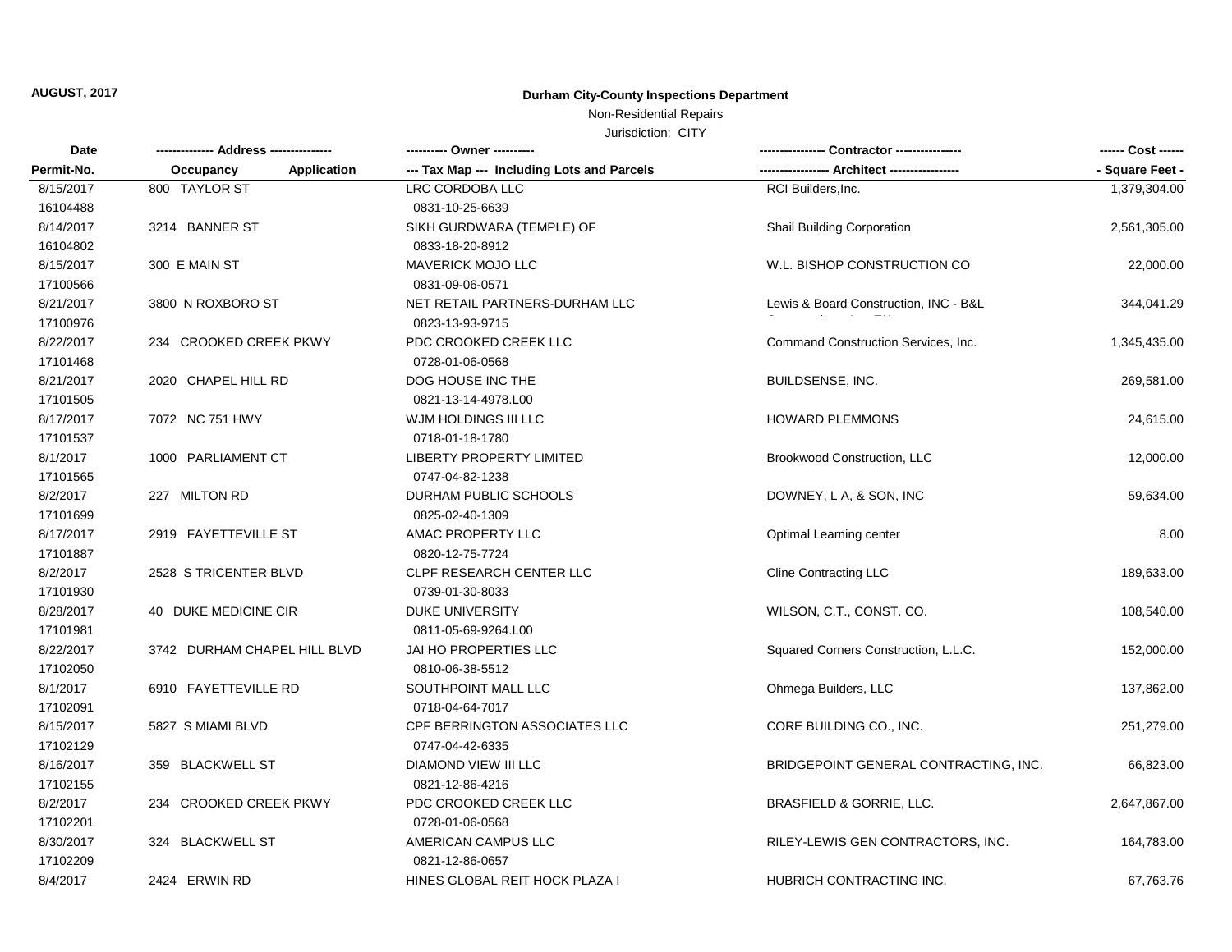### Non-Residential Repairs

| <b>Date</b> |                                 | --------- Owner ----------                 |                                       |                 |
|-------------|---------------------------------|--------------------------------------------|---------------------------------------|-----------------|
| Permit-No.  | <b>Application</b><br>Occupancy | --- Tax Map --- Including Lots and Parcels | - Architect ---                       | - Square Feet - |
| 8/15/2017   | 800 TAYLOR ST                   | <b>LRC CORDOBA LLC</b>                     | RCI Builders, Inc.                    | 1,379,304.00    |
| 16104488    |                                 | 0831-10-25-6639                            |                                       |                 |
| 8/14/2017   | 3214 BANNER ST                  | SIKH GURDWARA (TEMPLE) OF                  | Shail Building Corporation            | 2,561,305.00    |
| 16104802    |                                 | 0833-18-20-8912                            |                                       |                 |
| 8/15/2017   | 300 E MAIN ST                   | <b>MAVERICK MOJO LLC</b>                   | W.L. BISHOP CONSTRUCTION CO           | 22,000.00       |
| 17100566    |                                 | 0831-09-06-0571                            |                                       |                 |
| 8/21/2017   | 3800 N ROXBORO ST               | NET RETAIL PARTNERS-DURHAM LLC             | Lewis & Board Construction, INC - B&L | 344,041.29      |
| 17100976    |                                 | 0823-13-93-9715                            |                                       |                 |
| 8/22/2017   | 234 CROOKED CREEK PKWY          | PDC CROOKED CREEK LLC                      | Command Construction Services, Inc.   | 1,345,435.00    |
| 17101468    |                                 | 0728-01-06-0568                            |                                       |                 |
| 8/21/2017   | 2020 CHAPEL HILL RD             | DOG HOUSE INC THE                          | <b>BUILDSENSE, INC.</b>               | 269,581.00      |
| 17101505    |                                 | 0821-13-14-4978.L00                        |                                       |                 |
| 8/17/2017   | 7072 NC 751 HWY                 | WJM HOLDINGS III LLC                       | <b>HOWARD PLEMMONS</b>                | 24,615.00       |
| 17101537    |                                 | 0718-01-18-1780                            |                                       |                 |
| 8/1/2017    | 1000 PARLIAMENT CT              | <b>LIBERTY PROPERTY LIMITED</b>            | Brookwood Construction, LLC           | 12,000.00       |
| 17101565    |                                 | 0747-04-82-1238                            |                                       |                 |
| 8/2/2017    | 227 MILTON RD                   | DURHAM PUBLIC SCHOOLS                      | DOWNEY, L A, & SON, INC               | 59,634.00       |
| 17101699    |                                 | 0825-02-40-1309                            |                                       |                 |
| 8/17/2017   | 2919 FAYETTEVILLE ST            | AMAC PROPERTY LLC                          | Optimal Learning center               | 8.00            |
| 17101887    |                                 | 0820-12-75-7724                            |                                       |                 |
| 8/2/2017    | 2528 S TRICENTER BLVD           | <b>CLPF RESEARCH CENTER LLC</b>            | <b>Cline Contracting LLC</b>          | 189,633.00      |
| 17101930    |                                 | 0739-01-30-8033                            |                                       |                 |
| 8/28/2017   | 40 DUKE MEDICINE CIR            | <b>DUKE UNIVERSITY</b>                     | WILSON, C.T., CONST. CO.              | 108,540.00      |
| 17101981    |                                 | 0811-05-69-9264.L00                        |                                       |                 |
| 8/22/2017   | 3742 DURHAM CHAPEL HILL BLVD    | JAI HO PROPERTIES LLC                      | Squared Corners Construction, L.L.C.  | 152,000.00      |
| 17102050    |                                 | 0810-06-38-5512                            |                                       |                 |
| 8/1/2017    | 6910 FAYETTEVILLE RD            | SOUTHPOINT MALL LLC                        | Ohmega Builders, LLC                  | 137,862.00      |
| 17102091    |                                 | 0718-04-64-7017                            |                                       |                 |
| 8/15/2017   | 5827 S MIAMI BLVD               | CPF BERRINGTON ASSOCIATES LLC              | CORE BUILDING CO., INC.               | 251,279.00      |
| 17102129    |                                 | 0747-04-42-6335                            |                                       |                 |
| 8/16/2017   | 359 BLACKWELL ST                | DIAMOND VIEW III LLC                       | BRIDGEPOINT GENERAL CONTRACTING, INC. | 66,823.00       |
| 17102155    |                                 | 0821-12-86-4216                            |                                       |                 |
| 8/2/2017    | 234 CROOKED CREEK PKWY          | PDC CROOKED CREEK LLC                      | BRASFIELD & GORRIE, LLC.              | 2,647,867.00    |
| 17102201    |                                 | 0728-01-06-0568                            |                                       |                 |
| 8/30/2017   | 324 BLACKWELL ST                | AMERICAN CAMPUS LLC                        | RILEY-LEWIS GEN CONTRACTORS, INC.     | 164,783.00      |
| 17102209    |                                 | 0821-12-86-0657                            |                                       |                 |
| 8/4/2017    | 2424 ERWIN RD                   | HINES GLOBAL REIT HOCK PLAZA I             | HUBRICH CONTRACTING INC.              | 67,763.76       |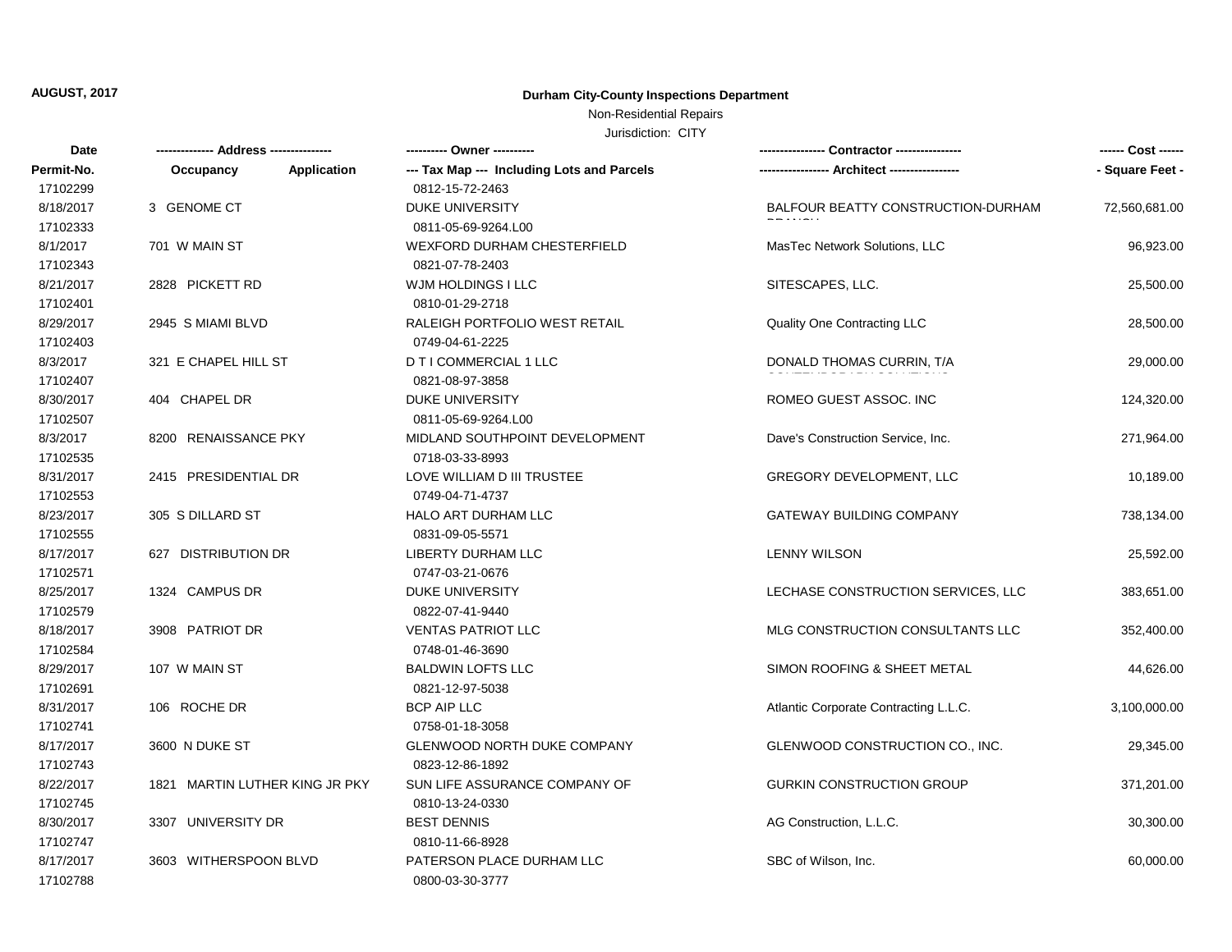### Non-Residential Repairs

| Date       |                                 |                                            |                                       | ------ Cost ------ |
|------------|---------------------------------|--------------------------------------------|---------------------------------------|--------------------|
| Permit-No. | <b>Application</b><br>Occupancy | --- Tax Map --- Including Lots and Parcels |                                       | - Square Feet -    |
| 17102299   |                                 | 0812-15-72-2463                            |                                       |                    |
| 8/18/2017  | 3 GENOME CT                     | <b>DUKE UNIVERSITY</b>                     | BALFOUR BEATTY CONSTRUCTION-DURHAM    | 72,560,681.00      |
| 17102333   |                                 | 0811-05-69-9264.L00                        |                                       |                    |
| 8/1/2017   | 701 W MAIN ST                   | <b>WEXFORD DURHAM CHESTERFIELD</b>         | MasTec Network Solutions, LLC         | 96,923.00          |
| 17102343   |                                 | 0821-07-78-2403                            |                                       |                    |
| 8/21/2017  | 2828 PICKETT RD                 | WJM HOLDINGS I LLC                         | SITESCAPES, LLC.                      | 25,500.00          |
| 17102401   |                                 | 0810-01-29-2718                            |                                       |                    |
| 8/29/2017  | 2945 S MIAMI BLVD               | RALEIGH PORTFOLIO WEST RETAIL              | Quality One Contracting LLC           | 28,500.00          |
| 17102403   |                                 | 0749-04-61-2225                            |                                       |                    |
| 8/3/2017   | 321 E CHAPEL HILL ST            | D T I COMMERCIAL 1 LLC                     | DONALD THOMAS CURRIN, T/A             | 29,000.00          |
| 17102407   |                                 | 0821-08-97-3858                            |                                       |                    |
| 8/30/2017  | 404 CHAPEL DR                   | <b>DUKE UNIVERSITY</b>                     | ROMEO GUEST ASSOC. INC                | 124,320.00         |
| 17102507   |                                 | 0811-05-69-9264.L00                        |                                       |                    |
| 8/3/2017   | 8200 RENAISSANCE PKY            | MIDLAND SOUTHPOINT DEVELOPMENT             | Dave's Construction Service, Inc.     | 271,964.00         |
| 17102535   |                                 | 0718-03-33-8993                            |                                       |                    |
| 8/31/2017  | 2415 PRESIDENTIAL DR            | LOVE WILLIAM D III TRUSTEE                 | <b>GREGORY DEVELOPMENT, LLC</b>       | 10,189.00          |
| 17102553   |                                 | 0749-04-71-4737                            |                                       |                    |
| 8/23/2017  | 305 S DILLARD ST                | <b>HALO ART DURHAM LLC</b>                 | <b>GATEWAY BUILDING COMPANY</b>       | 738,134.00         |
| 17102555   |                                 | 0831-09-05-5571                            |                                       |                    |
| 8/17/2017  | 627 DISTRIBUTION DR             | <b>LIBERTY DURHAM LLC</b>                  | <b>LENNY WILSON</b>                   | 25,592.00          |
| 17102571   |                                 | 0747-03-21-0676                            |                                       |                    |
| 8/25/2017  | 1324 CAMPUS DR                  | <b>DUKE UNIVERSITY</b>                     | LECHASE CONSTRUCTION SERVICES, LLC    | 383,651.00         |
| 17102579   |                                 | 0822-07-41-9440                            |                                       |                    |
| 8/18/2017  | 3908 PATRIOT DR                 | <b>VENTAS PATRIOT LLC</b>                  | MLG CONSTRUCTION CONSULTANTS LLC      | 352,400.00         |
| 17102584   |                                 | 0748-01-46-3690                            |                                       |                    |
| 8/29/2017  | 107 W MAIN ST                   | <b>BALDWIN LOFTS LLC</b>                   | SIMON ROOFING & SHEET METAL           | 44,626.00          |
| 17102691   |                                 | 0821-12-97-5038                            |                                       |                    |
| 8/31/2017  | 106 ROCHE DR                    | <b>BCP AIP LLC</b>                         | Atlantic Corporate Contracting L.L.C. | 3,100,000.00       |
| 17102741   |                                 | 0758-01-18-3058                            |                                       |                    |
| 8/17/2017  | 3600 N DUKE ST                  | GLENWOOD NORTH DUKE COMPANY                | GLENWOOD CONSTRUCTION CO., INC.       | 29,345.00          |
| 17102743   |                                 | 0823-12-86-1892                            |                                       |                    |
| 8/22/2017  | 1821 MARTIN LUTHER KING JR PKY  | SUN LIFE ASSURANCE COMPANY OF              | <b>GURKIN CONSTRUCTION GROUP</b>      | 371,201.00         |
| 17102745   |                                 | 0810-13-24-0330                            |                                       |                    |
| 8/30/2017  | 3307 UNIVERSITY DR              | <b>BEST DENNIS</b>                         | AG Construction, L.L.C.               | 30,300.00          |
| 17102747   |                                 | 0810-11-66-8928                            |                                       |                    |
| 8/17/2017  | 3603 WITHERSPOON BLVD           | PATERSON PLACE DURHAM LLC                  | SBC of Wilson, Inc.                   | 60,000.00          |
| 17102788   |                                 | 0800-03-30-3777                            |                                       |                    |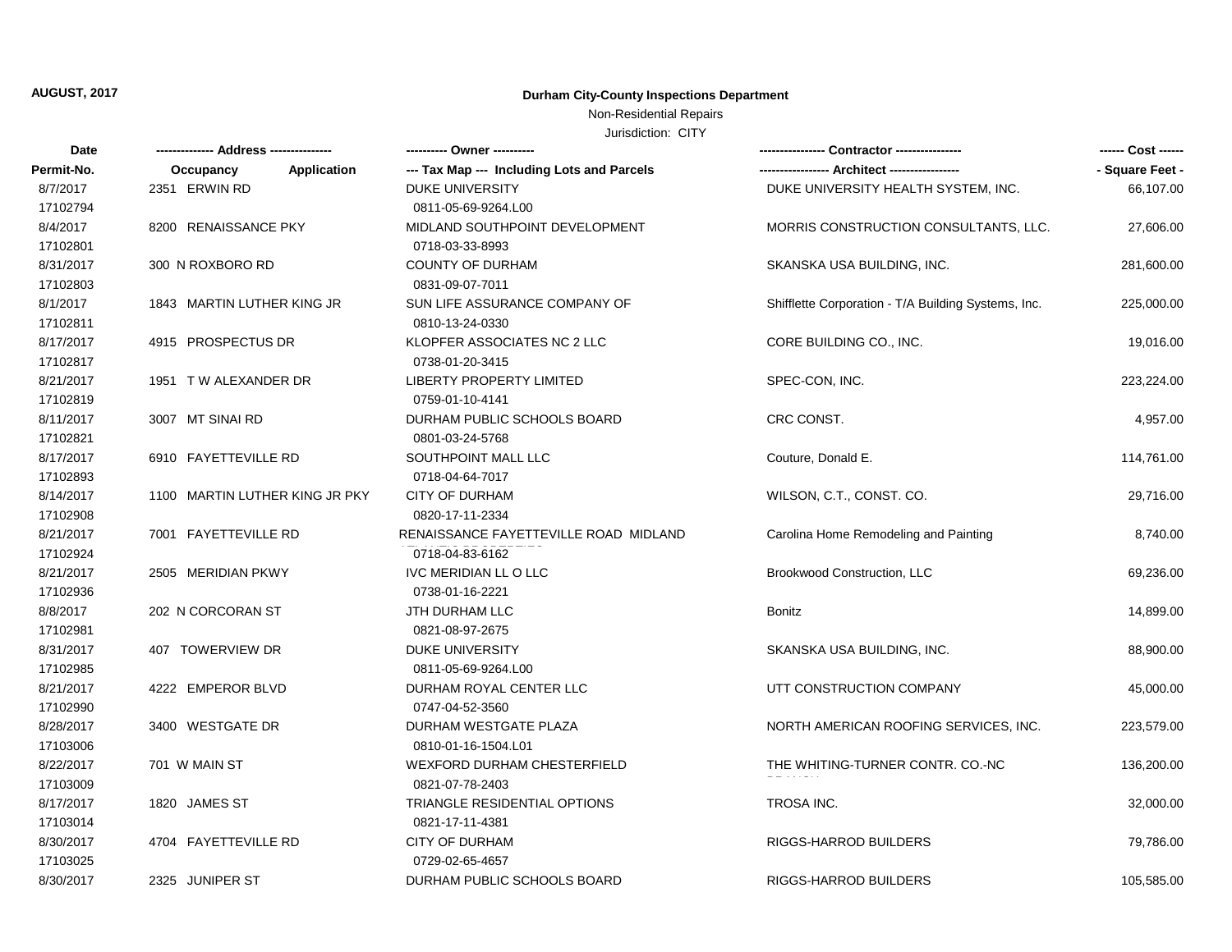### Non-Residential Repairs

| Date       | -------------- Address -------------- |                                            |                                                     | ------ Cost ------ |
|------------|---------------------------------------|--------------------------------------------|-----------------------------------------------------|--------------------|
| Permit-No. | <b>Application</b><br>Occupancy       | --- Tax Map --- Including Lots and Parcels |                                                     | - Square Feet -    |
| 8/7/2017   | 2351 ERWIN RD                         | <b>DUKE UNIVERSITY</b>                     | DUKE UNIVERSITY HEALTH SYSTEM, INC.                 | 66,107.00          |
| 17102794   |                                       | 0811-05-69-9264.L00                        |                                                     |                    |
| 8/4/2017   | 8200 RENAISSANCE PKY                  | MIDLAND SOUTHPOINT DEVELOPMENT             | MORRIS CONSTRUCTION CONSULTANTS, LLC.               | 27,606.00          |
| 17102801   |                                       | 0718-03-33-8993                            |                                                     |                    |
| 8/31/2017  | 300 N ROXBORO RD                      | <b>COUNTY OF DURHAM</b>                    | SKANSKA USA BUILDING, INC.                          | 281,600.00         |
| 17102803   |                                       | 0831-09-07-7011                            |                                                     |                    |
| 8/1/2017   | 1843 MARTIN LUTHER KING JR            | SUN LIFE ASSURANCE COMPANY OF              | Shifflette Corporation - T/A Building Systems, Inc. | 225,000.00         |
| 17102811   |                                       | 0810-13-24-0330                            |                                                     |                    |
| 8/17/2017  | 4915 PROSPECTUS DR                    | KLOPFER ASSOCIATES NC 2 LLC                | CORE BUILDING CO., INC.                             | 19,016.00          |
| 17102817   |                                       | 0738-01-20-3415                            |                                                     |                    |
| 8/21/2017  | 1951 TW ALEXANDER DR                  | LIBERTY PROPERTY LIMITED                   | SPEC-CON, INC.                                      | 223,224.00         |
| 17102819   |                                       | 0759-01-10-4141                            |                                                     |                    |
| 8/11/2017  | 3007 MT SINAI RD                      | DURHAM PUBLIC SCHOOLS BOARD                | CRC CONST.                                          | 4,957.00           |
| 17102821   |                                       | 0801-03-24-5768                            |                                                     |                    |
| 8/17/2017  | 6910 FAYETTEVILLE RD                  | SOUTHPOINT MALL LLC                        | Couture, Donald E.                                  | 114,761.00         |
| 17102893   |                                       | 0718-04-64-7017                            |                                                     |                    |
| 8/14/2017  | 1100 MARTIN LUTHER KING JR PKY        | <b>CITY OF DURHAM</b>                      | WILSON, C.T., CONST. CO.                            | 29,716.00          |
| 17102908   |                                       | 0820-17-11-2334                            |                                                     |                    |
| 8/21/2017  | 7001 FAYETTEVILLE RD                  | RENAISSANCE FAYETTEVILLE ROAD MIDLAND      | Carolina Home Remodeling and Painting               | 8,740.00           |
| 17102924   |                                       | 0718-04-83-6162                            |                                                     |                    |
| 8/21/2017  | 2505 MERIDIAN PKWY                    | IVC MERIDIAN LL O LLC                      | Brookwood Construction, LLC                         | 69,236.00          |
| 17102936   |                                       | 0738-01-16-2221                            |                                                     |                    |
| 8/8/2017   | 202 N CORCORAN ST                     | JTH DURHAM LLC                             | Bonitz                                              | 14,899.00          |
| 17102981   |                                       | 0821-08-97-2675                            |                                                     |                    |
| 8/31/2017  | 407 TOWERVIEW DR                      | DUKE UNIVERSITY                            | SKANSKA USA BUILDING, INC.                          | 88,900.00          |
| 17102985   |                                       | 0811-05-69-9264.L00                        |                                                     |                    |
| 8/21/2017  | 4222 EMPEROR BLVD                     | DURHAM ROYAL CENTER LLC                    | UTT CONSTRUCTION COMPANY                            | 45,000.00          |
| 17102990   |                                       | 0747-04-52-3560                            |                                                     |                    |
| 8/28/2017  | 3400 WESTGATE DR                      | DURHAM WESTGATE PLAZA                      | NORTH AMERICAN ROOFING SERVICES, INC.               | 223,579.00         |
| 17103006   |                                       | 0810-01-16-1504.L01                        |                                                     |                    |
| 8/22/2017  | 701 W MAIN ST                         | WEXFORD DURHAM CHESTERFIELD                | THE WHITING-TURNER CONTR. CO.-NC                    | 136,200.00         |
| 17103009   |                                       | 0821-07-78-2403                            |                                                     |                    |
| 8/17/2017  | 1820 JAMES ST                         | <b>TRIANGLE RESIDENTIAL OPTIONS</b>        | <b>TROSA INC.</b>                                   | 32,000.00          |
| 17103014   |                                       | 0821-17-11-4381                            |                                                     |                    |
| 8/30/2017  | 4704 FAYETTEVILLE RD                  | <b>CITY OF DURHAM</b>                      | RIGGS-HARROD BUILDERS                               | 79,786.00          |
| 17103025   |                                       | 0729-02-65-4657                            |                                                     |                    |
| 8/30/2017  | 2325 JUNIPER ST                       | DURHAM PUBLIC SCHOOLS BOARD                | RIGGS-HARROD BUILDERS                               | 105,585.00         |